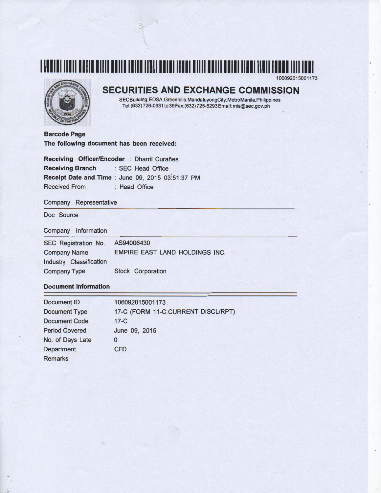# **1111111111111111111111111111111111111111111111111111111111111111111111111111111111111**  106092015001173

..



# **SECURITIES AND EXCHANGE COMMISSION**

SECBuilding,EDSA,Greenhills,MandaluyongCity,MetroManila,Philippines Tel: (632) 726-0931 to 39 Fax: (632) 725-5293 Email: mis@sec.gov. ph

**Barcode Page The following document has been received:** 

**Receiving Officer/Encoder** : Dharril Curañes **Receiving Branch** : SEC Head Office **Receipt Date and Time : June 09, 2015 03:51:37 PM** Received From : Head Office

## Company Representative

Doc Source

. •

Company Information

| SEC Registration No.    | AS94006430                            |
|-------------------------|---------------------------------------|
| <b>Company Name</b>     | <b>EMPIRE EAST LAND HOLDINGS INC.</b> |
| Industry Classification |                                       |
| <b>Company Type</b>     | <b>Stock Corporation</b>              |

## **Document Information**

| Document ID           | 106092015001173                    |
|-----------------------|------------------------------------|
| <b>Document Type</b>  | 17-C (FORM 11-C:CURRENT DISCL/RPT) |
| <b>Document Code</b>  | $17-C$                             |
| <b>Period Covered</b> | June 09, 2015                      |
| No. of Days Late      | 0                                  |
| Department            | <b>CFD</b>                         |
| <b>Remarks</b>        |                                    |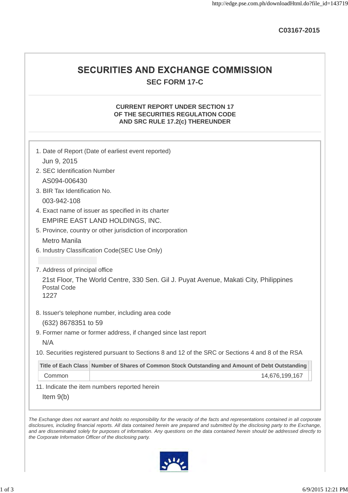**C03167-2015**

# **SECURITIES AND EXCHANGE COMMISSION SEC FORM 17-C**

# **CURRENT REPORT UNDER SECTION 17 OF THE SECURITIES REGULATION CODE AND SRC RULE 17.2(c) THEREUNDER**

| 21st Floor, The World Centre, 330 Sen. Gil J. Puyat Avenue, Makati City, Philippines              |
|---------------------------------------------------------------------------------------------------|
|                                                                                                   |
|                                                                                                   |
|                                                                                                   |
|                                                                                                   |
| 10. Securities registered pursuant to Sections 8 and 12 of the SRC or Sections 4 and 8 of the RSA |
| Title of Each Class Number of Shares of Common Stock Outstanding and Amount of Debt Outstanding   |
|                                                                                                   |
| 14,676,199,167                                                                                    |
|                                                                                                   |
|                                                                                                   |

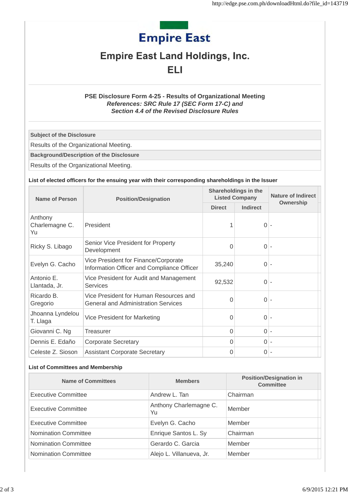# **Empire East**

# **Empire East Land Holdings, Inc.**

# ELI

## **PSE Disclosure Form 4-25 - Results of Organizational Meeting** *References: SRC Rule 17 (SEC Form 17-C) and Section 4.4 of the Revised Disclosure Rules*

**Subject of the Disclosure**

Results of the Organizational Meeting.

**Background/Description of the Disclosure**

Results of the Organizational Meeting.

## **List of elected officers for the ensuing year with their corresponding shareholdings in the Issuer**

| Name of Person                  | <b>Position/Designation</b>                                                          | Shareholdings in the<br><b>Listed Company</b> |                 | <b>Nature of Indirect</b> |
|---------------------------------|--------------------------------------------------------------------------------------|-----------------------------------------------|-----------------|---------------------------|
|                                 |                                                                                      | <b>Direct</b>                                 | <b>Indirect</b> | Ownership                 |
| Anthony<br>Charlemagne C.<br>Yu | President                                                                            |                                               | 0               |                           |
| Ricky S. Libago                 | Senior Vice President for Property<br>Development                                    | $\Omega$                                      | $\overline{0}$  |                           |
| Evelyn G. Cacho                 | Vice President for Finance/Corporate<br>Information Officer and Compliance Officer   | 35,240                                        | $\overline{0}$  | $\sim$                    |
| Antonio E.<br>Llantada, Jr.     | Vice President for Audit and Management<br><b>Services</b>                           | 92,532                                        | $0 -$           |                           |
| Ricardo B.<br>Gregorio          | Vice President for Human Resources and<br><b>General and Administration Services</b> | $\Omega$                                      | $0$ -           |                           |
| Jhoanna Lyndelou<br>T. Llaga    | Vice President for Marketing                                                         | $\Omega$                                      | 0               |                           |
| Giovanni C. Ng                  | Treasurer                                                                            | $\Omega$                                      | $\overline{0}$  | $\sim$                    |
| Dennis E. Edaño                 | <b>Corporate Secretary</b>                                                           | $\Omega$                                      | $0 -$           |                           |
| Celeste Z. Sioson               | <b>Assistant Corporate Secretary</b>                                                 | $\Omega$                                      | $\overline{0}$  |                           |

## **List of Committees and Membership**

| <b>Name of Committees</b>   | <b>Members</b>               | <b>Position/Designation in</b><br><b>Committee</b> |
|-----------------------------|------------------------------|----------------------------------------------------|
| <b>Executive Committee</b>  | Andrew L. Tan                | Chairman                                           |
| <b>Executive Committee</b>  | Anthony Charlemagne C.<br>Yu | Member                                             |
| Executive Committee         | Evelyn G. Cacho              | Member                                             |
| <b>Nomination Committee</b> | Enrique Santos L. Sy         | Chairman                                           |
| <b>Nomination Committee</b> | Gerardo C. Garcia            | Member                                             |
| <b>Nomination Committee</b> | Alejo L. Villanueva, Jr.     | Member                                             |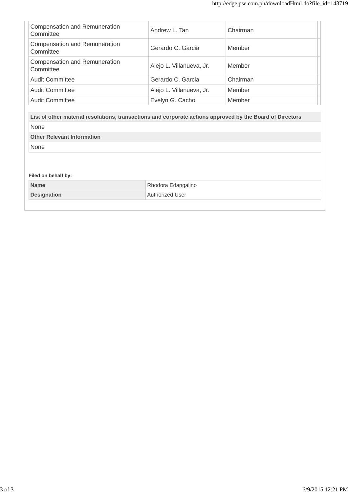| <b>Compensation and Remuneration</b><br>Committee                                                         |                           |          |
|-----------------------------------------------------------------------------------------------------------|---------------------------|----------|
|                                                                                                           | Andrew L. Tan             | Chairman |
| <b>Compensation and Remuneration</b><br>Committee                                                         | Gerardo C. Garcia         | Member   |
| <b>Compensation and Remuneration</b><br>Committee                                                         | Alejo L. Villanueva, Jr.  | Member   |
| <b>Audit Committee</b>                                                                                    | Gerardo C. Garcia         | Chairman |
| <b>Audit Committee</b>                                                                                    | Alejo L. Villanueva, Jr.  | Member   |
| <b>Audit Committee</b>                                                                                    | Evelyn G. Cacho<br>Member |          |
| List of other material resolutions, transactions and corporate actions approved by the Board of Directors |                           |          |
| None                                                                                                      |                           |          |
| <b>Other Relevant Information</b>                                                                         |                           |          |
| None                                                                                                      |                           |          |

**Designation Authorized User**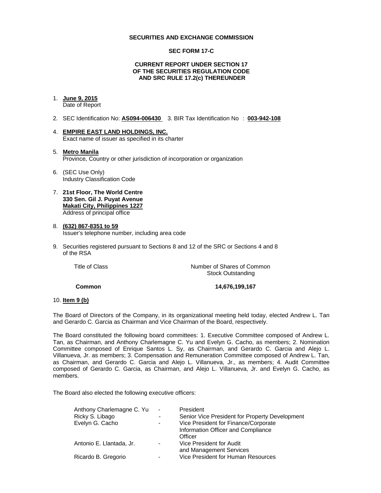#### **SECURITIES AND EXCHANGE COMMISSION**

#### **SEC FORM 17-C**

#### **CURRENT REPORT UNDER SECTION 17 OF THE SECURITIES REGULATION CODE AND SRC RULE 17.2(c) THEREUNDER**

#### 1. **June 9, 2015**

Date of Report

- 2. SEC Identification No: **AS094-006430** 3. BIR Tax Identification No : **003-942-108**
- 4. **EMPIRE EAST LAND HOLDINGS, INC.**  Exact name of issuer as specified in its charter
- 5. **Metro Manila**  Province, Country or other jurisdiction of incorporation or organization
- 6. (SEC Use Only) Industry Classification Code
- 7. **21st Floor, The World Centre 330 Sen. Gil J. Puyat Avenue Makati City, Philippines 1227** Address of principal office

#### 8. **(632) 867-8351 to 59**  Issuer's telephone number, including area code

9. Securities registered pursuant to Sections 8 and 12 of the SRC or Sections 4 and 8 of the RSA

 Title of ClassNumber of Shares of Common Stock Outstanding

#### **Common 14,676,199,167**

#### 10. **Item 9 (b)**

The Board of Directors of the Company, in its organizational meeting held today, elected Andrew L. Tan and Gerardo C. Garcia as Chairman and Vice Chairman of the Board, respectively.

The Board constituted the following board committees: 1. Executive Committee composed of Andrew L. Tan, as Chairman, and Anthony Charlemagne C. Yu and Evelyn G. Cacho, as members; 2. Nomination Committee composed of Enrique Santos L. Sy, as Chairman, and Gerardo C. Garcia and Alejo L. Villanueva, Jr. as members; 3. Compensation and Remuneration Committee composed of Andrew L. Tan, as Chairman, and Gerardo C. Garcia and Alejo L. Villanueva, Jr., as members; 4. Audit Committee composed of Gerardo C. Garcia, as Chairman, and Alejo L. Villanueva, Jr. and Evelyn G. Cacho, as members.

The Board also elected the following executive officers:

| Anthony Charlemagne C. Yu | $\blacksquare$ | President                                      |
|---------------------------|----------------|------------------------------------------------|
| Ricky S. Libago           |                | Senior Vice President for Property Development |
| Evelyn G. Cacho           |                | Vice President for Finance/Corporate           |
|                           |                | Information Officer and Compliance             |
|                           |                | Officer                                        |
| Antonio E. Llantada, Jr.  | $\blacksquare$ | Vice President for Audit                       |
|                           |                | and Management Services                        |
| Ricardo B. Gregorio       |                | Vice President for Human Resources             |